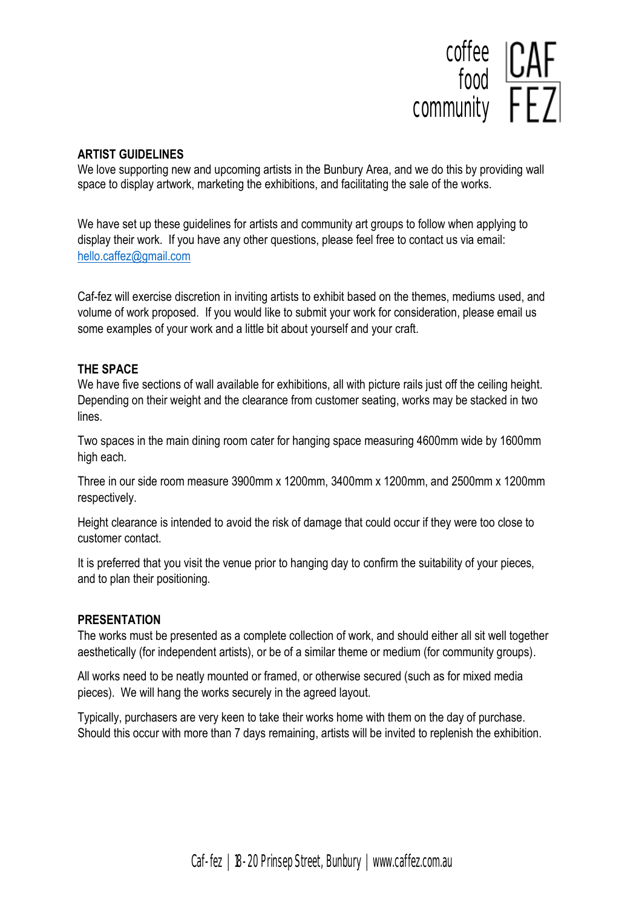

## **ARTIST GUIDELINES**

We love supporting new and upcoming artists in the Bunbury Area, and we do this by providing wall space to display artwork, marketing the exhibitions, and facilitating the sale of the works.

We have set up these guidelines for artists and community art groups to follow when applying to display their work. If you have any other questions, please feel free to contact us via email: [hello.caffez@gmail.com](mailto:hello.caffez@gmail.com)

Caf-fez will exercise discretion in inviting artists to exhibit based on the themes, mediums used, and volume of work proposed. If you would like to submit your work for consideration, please email us some examples of your work and a little bit about yourself and your craft.

#### **THE SPACE**

We have five sections of wall available for exhibitions, all with picture rails just off the ceiling height. Depending on their weight and the clearance from customer seating, works may be stacked in two lines.

Two spaces in the main dining room cater for hanging space measuring 4600mm wide by 1600mm high each.

Three in our side room measure 3900mm x 1200mm, 3400mm x 1200mm, and 2500mm x 1200mm respectively.

Height clearance is intended to avoid the risk of damage that could occur if they were too close to customer contact.

It is preferred that you visit the venue prior to hanging day to confirm the suitability of your pieces, and to plan their positioning.

#### **PRESENTATION**

The works must be presented as a complete collection of work, and should either all sit well together aesthetically (for independent artists), or be of a similar theme or medium (for community groups).

All works need to be neatly mounted or framed, or otherwise secured (such as for mixed media pieces). We will hang the works securely in the agreed layout.

Typically, purchasers are very keen to take their works home with them on the day of purchase. Should this occur with more than 7 days remaining, artists will be invited to replenish the exhibition.